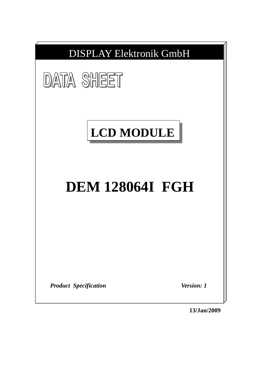

**13/Jan/2009**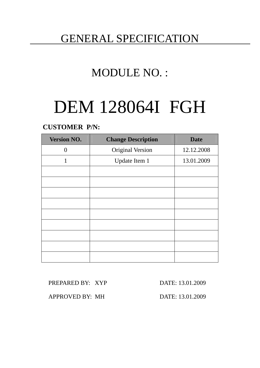## GENERAL SPECIFICATION

# MODULE NO. :

# DEM 128064I FGH

### **CUSTOMER P/N:**

| <b>Version NO.</b> | <b>Change Description</b> | <b>Date</b> |
|--------------------|---------------------------|-------------|
| $\theta$           | <b>Original Version</b>   | 12.12.2008  |
| 1                  | Update Item 1             | 13.01.2009  |
|                    |                           |             |
|                    |                           |             |
|                    |                           |             |
|                    |                           |             |
|                    |                           |             |
|                    |                           |             |
|                    |                           |             |
|                    |                           |             |
|                    |                           |             |

### PREPARED BY: XYP DATE: 13.01.2009

APPROVED BY: MH DATE: 13.01.2009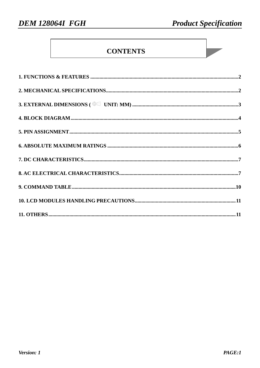### **CONTENTS**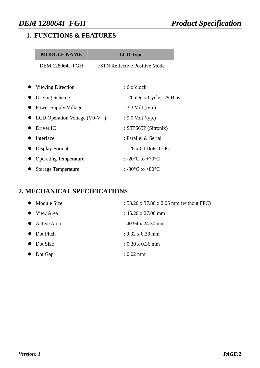### **1. FUNCTIONS & FEATURES**

| <b>MODULE NAME</b>     | <b>LCD</b> Type                      |
|------------------------|--------------------------------------|
| <b>DEM 128064I FGH</b> | <b>FSTN Reflective Positive Mode</b> |

| • Viewing Direction                                   | $: 6$ o'clock                                  |
|-------------------------------------------------------|------------------------------------------------|
| • Driving Scheme                                      | : $1/65$ Duty Cycle, $1/9$ Bias                |
| <b>Power Supply Voltage</b>                           | $: 3.3$ Volt (typ.)                            |
| $\bullet$ LCD Operation Voltage (V0-V <sub>SS</sub> ) | $: 9.0$ Volt (typ.)                            |
| Driver IC                                             | : $ST7565P(Sitronix)$                          |
| Interface                                             | : Parallel & Serial                            |
| Display Format                                        | : $128 \times 64$ Dots, COG                    |
| <b>Operating Temperature</b>                          | : -20 $\rm{^{\circ}C}$ to +70 $\rm{^{\circ}C}$ |
| <b>Storage Temperature</b>                            | : -30 $^{\circ}$ C to +80 $^{\circ}$ C         |

### **2. MECHANICAL SPECIFICATIONS**

|           | • Module Size | : 53.20 x 37.80 x 2.05 mm (without FPC) |
|-----------|---------------|-----------------------------------------|
|           | View Area     | $: 45.20 \times 27.00 \text{ mm}$       |
|           | Active Area   | : 40.94 x 24.30 mm                      |
|           | • Dot Pitch   | $: 0.32 \times 0.38$ mm                 |
|           | • Dot Size    | $: 0.30 \times 0.36$ mm                 |
| $\bullet$ | Dot Gap       | $: 0.02 \text{ mm}$                     |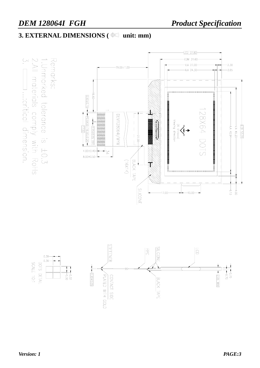### **3. EXTERNAL DIMENSIONS (** $\bigoplus$  **unit: mm)**

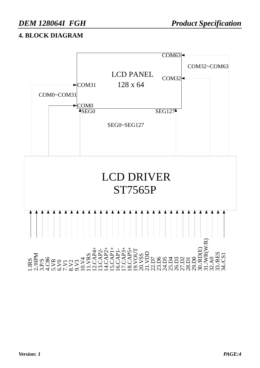### **4. BLOCK DIAGRAM**

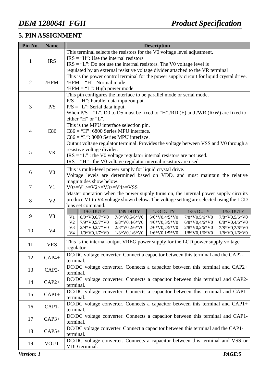### **5. PIN ASSIGNMENT**

| Pin No.                                              | <b>Name</b>    | <b>Description</b>                                                                                                 |  |  |  |  |  |  |
|------------------------------------------------------|----------------|--------------------------------------------------------------------------------------------------------------------|--|--|--|--|--|--|
|                                                      |                | This terminal selects the resistors for the V0 voltage level adjustment.                                           |  |  |  |  |  |  |
| $\mathbf{1}$                                         | <b>IRS</b>     | $IRS = "H"$ : Use the internal resistors                                                                           |  |  |  |  |  |  |
|                                                      |                | $IRS = "L": Do not use the internal resistors. The V0 voltage level is$                                            |  |  |  |  |  |  |
|                                                      |                | regulated by an external resistive voltage divider attached to the VR terminal                                     |  |  |  |  |  |  |
|                                                      |                | This is the power control terminal for the power supply circuit for liquid crystal drive.                          |  |  |  |  |  |  |
| $/HPM = "H"$ : Normal mode<br>/HPM<br>$\overline{2}$ |                |                                                                                                                    |  |  |  |  |  |  |
|                                                      |                | $/HPM = "L"$ : High power mode                                                                                     |  |  |  |  |  |  |
|                                                      |                | This pin configures the interface to be parallel mode or serial mode.                                              |  |  |  |  |  |  |
| 3                                                    | P/S            | $P/S = "H"$ : Parallel data input/output.<br>$P/S = "L":$ Serial data input.                                       |  |  |  |  |  |  |
|                                                      |                | When $P/S = "L", D0$ to D5 must be fixed to "H"./RD (E) and /WR (R/W) are fixed to                                 |  |  |  |  |  |  |
|                                                      |                | either "H" or "L".                                                                                                 |  |  |  |  |  |  |
|                                                      |                | This is the MPU interface selection pin.                                                                           |  |  |  |  |  |  |
| $\overline{4}$                                       | C86            | $C86 = "H": 6800$ Series MPU interface.                                                                            |  |  |  |  |  |  |
|                                                      |                | $C86 = "L"$ : 8080 Series MPU interface.                                                                           |  |  |  |  |  |  |
|                                                      |                | Output voltage regulator terminal. Provides the voltage between VSS and V0 through a                               |  |  |  |  |  |  |
| 5                                                    | <b>VR</b>      | resistive voltage divider.                                                                                         |  |  |  |  |  |  |
|                                                      |                | $IRS = "L"$ : the V0 voltage regulator internal resistors are not used.                                            |  |  |  |  |  |  |
|                                                      |                | $IRS = "H"$ : the V0 voltage regulator internal resistors are used.                                                |  |  |  |  |  |  |
|                                                      | V <sub>0</sub> | This is multi-level power supply for liquid crystal drive.                                                         |  |  |  |  |  |  |
| 6                                                    |                | Voltage levels are determined based on VDD, and must maintain the relative                                         |  |  |  |  |  |  |
|                                                      |                | magnitudes show below.                                                                                             |  |  |  |  |  |  |
| $\overline{7}$                                       | V <sub>1</sub> | $V0>=V1>=V2>=V3>=V4>=VSS$                                                                                          |  |  |  |  |  |  |
|                                                      |                | Master operation when the power supply turns on, the internal power supply circuits                                |  |  |  |  |  |  |
| 8                                                    | V <sub>2</sub> | produce V1 to V4 voltage shown below. The voltage setting are selected using the LCD                               |  |  |  |  |  |  |
|                                                      |                | bias set command.<br>1/49 DUTY<br>1/33 DUTY<br>1/65 DUTY<br>1/55 DUTY<br>1/53 DUTY                                 |  |  |  |  |  |  |
| 9                                                    | V <sub>3</sub> | 7/8*V0,5/6*V0<br>$7/8*V0,5/6*V0$<br>V1<br>8/9*V0.6/7*V0<br>5/6*V0,4/5*V0<br>7/8*V0.5/6*V0                          |  |  |  |  |  |  |
|                                                      |                | V <sub>2</sub><br>7/9*V0,5/7*V0<br>$6/8*V0,4/6*V0$<br>$6/8*V0,4/6*V0$<br>4/6*V0,3/5*V0<br>$6/8*V0,4/6*V0$          |  |  |  |  |  |  |
| 10                                                   | V <sub>4</sub> | V <sub>3</sub><br>2/9*V0,2/7*V0<br>2/8*V0,2/6*V0<br>$2/6*V0,2/5*V0$<br>2/8*V0,2/6*V0<br>2/8*V0,2/6*V0              |  |  |  |  |  |  |
|                                                      |                | $1/9*V0, 1/7*V0$<br>$1/8*V0, 1/6*V0$<br>V <sub>4</sub><br>$1/8*V0, 1/6*V0$<br>$1/6*V0, 1/5*V0$<br>$1/8*V0, 1/6*V0$ |  |  |  |  |  |  |
| 11                                                   | <b>VRS</b>     | This is the internal-output VREG power supply for the LCD power supply voltage                                     |  |  |  |  |  |  |
|                                                      |                | regulator.                                                                                                         |  |  |  |  |  |  |
| 12                                                   | $CAP4+$        | DC/DC voltage converter. Connect a capacitor between this terminal and the CAP2-                                   |  |  |  |  |  |  |
|                                                      |                | terminal.                                                                                                          |  |  |  |  |  |  |
| 13                                                   | CAP2-          | DC/DC voltage converter. Connects a capacitor between this terminal and CAP2+                                      |  |  |  |  |  |  |
|                                                      |                | terminal.                                                                                                          |  |  |  |  |  |  |
| 14                                                   | $CAP2+$        | DC/DC voltage converter. Connects a capacitor between this terminal and CAP2-                                      |  |  |  |  |  |  |
|                                                      |                | terminal.                                                                                                          |  |  |  |  |  |  |
| 15                                                   | $CAP1+$        | DC/DC voltage converter. Connects a capacitor between this terminal and CAP1-<br>terminal.                         |  |  |  |  |  |  |
|                                                      |                | DC/DC voltage converter. Connects a capacitor between this terminal and CAP1+                                      |  |  |  |  |  |  |
| 16                                                   | CAP1-          | terminal.                                                                                                          |  |  |  |  |  |  |
|                                                      |                | DC/DC voltage converter. Connects a capacitor between this terminal and CAP1-                                      |  |  |  |  |  |  |
| 17                                                   | $CAP3+$        | terminal.                                                                                                          |  |  |  |  |  |  |
|                                                      |                | DC/DC voltage converter. Connect a capacitor between this terminal and the CAP1-                                   |  |  |  |  |  |  |
| 18                                                   | $CAP5+$        | terminal.                                                                                                          |  |  |  |  |  |  |
|                                                      |                | DC/DC voltage converter. Connects a capacitor between this terminal and VSS or                                     |  |  |  |  |  |  |
| 19                                                   | <b>VOUT</b>    | VDD terminal.                                                                                                      |  |  |  |  |  |  |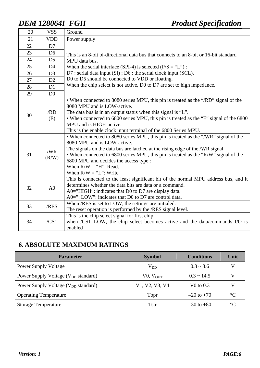| 20 | <b>VSS</b>     | Ground                                                                                                                                                                                                                                                                                                                                                                                        |
|----|----------------|-----------------------------------------------------------------------------------------------------------------------------------------------------------------------------------------------------------------------------------------------------------------------------------------------------------------------------------------------------------------------------------------------|
| 21 | <b>VDD</b>     | Power supply                                                                                                                                                                                                                                                                                                                                                                                  |
| 22 | D7             |                                                                                                                                                                                                                                                                                                                                                                                               |
| 23 | D <sub>6</sub> | This is an 8-bit bi-directional data bus that connects to an 8-bit or 16-bit standard                                                                                                                                                                                                                                                                                                         |
| 24 | D <sub>5</sub> | MPU data bus.                                                                                                                                                                                                                                                                                                                                                                                 |
| 25 | D <sub>4</sub> | When the serial interface (SPI-4) is selected ( $P/S = "L"$ ):                                                                                                                                                                                                                                                                                                                                |
| 26 | D <sub>3</sub> | D7 : serial data input (SI) ; D6 : the serial clock input (SCL).                                                                                                                                                                                                                                                                                                                              |
| 27 | D2             | D0 to D5 should be connected to VDD or floating.                                                                                                                                                                                                                                                                                                                                              |
| 28 | D1             | When the chip select is not active, D0 to D7 are set to high impedance.                                                                                                                                                                                                                                                                                                                       |
| 29 | D <sub>0</sub> |                                                                                                                                                                                                                                                                                                                                                                                               |
| 30 | /RD<br>(E)     | • When connected to 8080 series MPU, this pin is treated as the "/RD" signal of the<br>8080 MPU and is LOW-active.<br>The data bus is in an output status when this signal is "L".<br>• When connected to 6800 series MPU, this pin is treated as the "E" signal of the 6800<br>MPU and is HIGH-active.<br>This is the enable clock input terminal of the 6800 Series MPU.                    |
| 31 | /WR<br>(R/W)   | • When connected to 8080 series MPU, this pin is treated as the "/WR" signal of the<br>8080 MPU and is LOW-active.<br>The signals on the data bus are latched at the rising edge of the /WR signal.<br>• When connected to 6800 series MPU, this pin is treated as the "R/W" signal of the<br>6800 MPU and decides the access type :<br>When $R/W = "H"$ : Read.<br>When $R/W = "L"$ : Write. |
| 32 | A <sub>0</sub> | This is connected to the least significant bit of the normal MPU address bus, and it<br>determines whether the data bits are data or a command.<br>A0="HIGH": indicates that D0 to D7 are display data.<br>$A0=$ ": LOW": indicates that D0 to D7 are control data.                                                                                                                           |
| 33 | /RES           | When /RES is set to LOW, the settings are initialed.<br>The reset operation is performed by the /RES signal level.                                                                                                                                                                                                                                                                            |
| 34 | /CS1           | This is the chip select signal for first chip.<br>when /CS1=LOW, the chip select becomes active and the data/commands I/O is<br>enabled                                                                                                                                                                                                                                                       |

### **6. ABSOLUTE MAXIMUM RATINGS**

| <b>Parameter</b>                                | <b>Symbol</b>  | <b>Conditions</b>     | Unit            |
|-------------------------------------------------|----------------|-----------------------|-----------------|
| <b>Power Supply Voltage</b>                     | $\rm V_{DD}$   | $0.3 \sim 3.6$        |                 |
| Power Supply Voltage (V <sub>DD</sub> standard) | $V0$ , $VOUT$  | $0.3 \sim 14.5$       |                 |
| Power Supply Voltage (V <sub>DD</sub> standard) | V1, V2, V3, V4 | V <sub>0</sub> to 0.3 |                 |
| <b>Operating Temperature</b>                    | Topr           | $-20$ to $+70$        | $\rm ^{\circ}C$ |
| <b>Storage Temperature</b>                      | <b>T</b> str   | $-30$ to $+80$        | $\rm ^{\circ}C$ |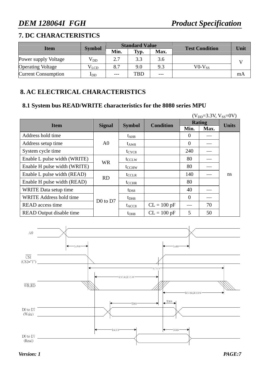### **7. DC CHARACTERISTICS**

|                            | <b>Symbol</b>              | <b>Standard Value</b> |            |       | <b>Test Condition</b> | Unit |  |
|----------------------------|----------------------------|-----------------------|------------|-------|-----------------------|------|--|
| <b>Item</b>                |                            | Min.                  | Typ.       | Max.  |                       |      |  |
| Power supply Voltage       | $\rm V_{DD}$               | 2.7                   | 3.3        | 3.6   |                       |      |  |
| <b>Operating Voltage</b>   | Vlcd                       | 8.7                   | 9.0        | 9.3   | $VO-V_{SS}$           |      |  |
| <b>Current Consumption</b> | $\mathbf{I}_{\mathrm{DD}}$ | ---                   | <b>TBD</b> | $---$ |                       | mA   |  |

### **8. AC ELECTRICAL CHARACTERISTICS**

### **8.1 System bus READ/WRITE characteristics for the 8080 series MPU**

| $(V_{DD} = 3.3V, V_{SS} = 0V)$  |               |                   |                  |                  |      |              |
|---------------------------------|---------------|-------------------|------------------|------------------|------|--------------|
| <b>Item</b>                     | <b>Signal</b> | <b>Symbol</b>     | <b>Condition</b> | <b>Rating</b>    |      | <b>Units</b> |
|                                 |               |                   |                  | Min.             | Max. |              |
| Address hold time               |               | $t_{\rm AH8}$     |                  | $\boldsymbol{0}$ |      |              |
| Address setup time              | A0            | $t_{\rm AW8}$     |                  | $\overline{0}$   |      |              |
| System cycle time               |               | $t_{CYC8}$        |                  | 240              |      |              |
| Enable L pulse width (WRITE)    | <b>WR</b>     | t <sub>CCLW</sub> |                  | 80               |      |              |
| Enable H pulse width (WRITE)    |               | t <sub>CCHW</sub> |                  | 80               |      |              |
| Enable L pulse width (READ)     | <b>RD</b>     | $t_{\text{CCLR}}$ |                  | 140              |      | ns           |
| Enable H pulse width (READ)     |               | $t_{\text{CCHR}}$ |                  | 80               |      |              |
| WRITE Data setup time           |               | $t_{DS8}$         |                  | 40               |      |              |
| <b>WRITE Address hold time</b>  | $D0$ to $D7$  | $t_{\rm DH8}$     |                  | $\overline{0}$   |      |              |
| READ access time                |               | $t_{\rm ACC8}$    | $CL = 100 pF$    |                  | 70   |              |
| <b>READ Output disable time</b> |               | $t_{OHB}$         | $CL = 100 pF$    | 5                | 50   |              |

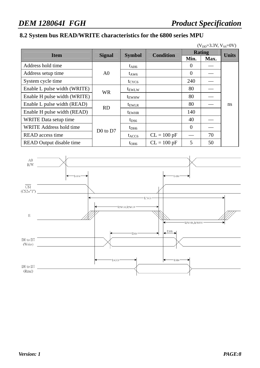### **8.2 System bus READ/WRITE characteristics for the 6800 series MPU**

| $(V_{DD} = 3.3V, V_{SS} = 0V)$  |               |                          |                  |                |              |               |
|---------------------------------|---------------|--------------------------|------------------|----------------|--------------|---------------|
| <b>Item</b>                     | <b>Signal</b> | <b>Symbol</b>            | <b>Condition</b> | <b>Rating</b>  | <b>Units</b> |               |
|                                 |               |                          |                  | Min.           | Max.         |               |
| Address hold time               |               | $t_{\rm AH6}$            |                  | 0              |              |               |
| Address setup time              | A0            | $t_{\rm AW6}$            |                  | $\overline{0}$ |              |               |
| System cycle time               |               | $t_{CYC6}$               |                  | 240            |              |               |
| Enable L pulse width (WRITE)    | <b>WR</b>     | t <sub>EWLW</sub>        |                  | 80             |              |               |
| Enable H pulse width (WRITE)    |               | t <sub>EWHW</sub>        |                  | 80             |              |               |
| Enable L pulse width (READ)     | <b>RD</b>     | t <sub>EWLR</sub>        |                  | 80             |              | <sub>ns</sub> |
| Enable H pulse width (READ)     |               | <b>t</b> <sub>EWHR</sub> |                  | 140            |              |               |
| WRITE Data setup time           |               | $t_{DS6}$                |                  | 40             |              |               |
| <b>WRITE Address hold time</b>  | $D0$ to $D7$  | $t_{DH6}$                |                  | $\theta$       |              |               |
| <b>READ</b> access time         |               | $t_{\text{ACC6}}$        | $CL = 100 pF$    |                | 70           |               |
| <b>READ</b> Output disable time |               | $t_{OH6}$                | $CL = 100 pF$    | 5              | 50           |               |

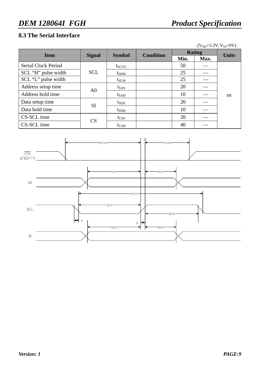### **8.3 The Serial Interface**

| $(V_{DD} = 3.3V, V_{SS} = 0V)$ |                |               |                  |               |      |              |  |  |
|--------------------------------|----------------|---------------|------------------|---------------|------|--------------|--|--|
| <b>Item</b>                    | <b>Signal</b>  |               | <b>Condition</b> | <b>Rating</b> |      | <b>Units</b> |  |  |
|                                |                | <b>Symbol</b> |                  | Min.          | Max. |              |  |  |
| <b>Serial Clock Period</b>     |                | $t_{SCYC}$    |                  | 50            |      |              |  |  |
| SCL "H" pulse width            | <b>SCL</b>     | $t_{SHW}$     |                  | 25            |      |              |  |  |
| SCL "L" pulse width            |                | $t_{SLW}$     |                  | 25            |      |              |  |  |
| Address setup time             | A <sub>0</sub> | $t_{SAS}$     |                  | 20            |      |              |  |  |
| Address hold time              |                | $t_{SAH}$     |                  | 10            |      | ns           |  |  |
| Data setup time                | <b>SI</b>      | $t_{SDS}$     |                  | 20            |      |              |  |  |
| Data hold time                 |                | $t_{SDH}$     |                  | 10            |      |              |  |  |
| CS-SCL time                    | CS             | $t_{CSS}$     |                  | 20            |      |              |  |  |
| CS-SCL time                    |                | $t_{\rm CSH}$ |                  | 40            |      |              |  |  |

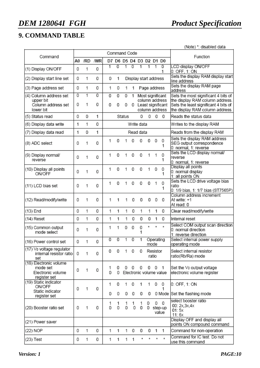### **9. COMMAND TABLE**

|                                                                         |                |              |     |                |                                                   |        |                |            |                                       |                   |          |                                                                        | (Note) *: disabled data                                                            |
|-------------------------------------------------------------------------|----------------|--------------|-----|----------------|---------------------------------------------------|--------|----------------|------------|---------------------------------------|-------------------|----------|------------------------------------------------------------------------|------------------------------------------------------------------------------------|
| Command                                                                 | Command Code   |              |     |                |                                                   |        |                |            |                                       |                   | Function |                                                                        |                                                                                    |
|                                                                         | A <sub>0</sub> | /RD          | /WR |                |                                                   |        |                |            | D7 D6 D5 D4 D3 D2 D1 D0               |                   |          |                                                                        |                                                                                    |
| (1) Display ON/OFF                                                      | 0              | 1            | 0   | $\overline{1}$ | 0                                                 | 1      | $\overline{0}$ | 1          | 1                                     |                   | 1        | 0<br>1                                                                 | LCD display ON/OFF<br>0: OFF, 1: ON                                                |
| (2) Display start line set                                              | 0              | 1            | 0   | 0              | 1                                                 |        |                |            | Display start address                 |                   |          |                                                                        | Sets the display RAM display start<br>line address                                 |
| (3) Page address set                                                    | 0              | 1            | 0   | 1              | 0                                                 | 1      | 1              |            | Page address                          |                   |          |                                                                        | Sets the display RAM page<br>address                                               |
| (4) Column address set<br>upper bit                                     | 0              | 1            | 0   | 0              | 0<br>0<br>Most significant<br>1<br>column address |        |                |            |                                       |                   |          | Sets the most significant 4 bits of<br>the display RAM column address. |                                                                                    |
| Column address set<br>lower bit                                         | 0              | 1            | 0   | 0              | 0                                                 | 0      |                |            | 0 Least significant<br>column address |                   |          |                                                                        | Sets the least significant 4 bits of<br>the display RAM column address.            |
| (5) Status read                                                         | 0              | 0            | 1   |                |                                                   | Status |                | 0          |                                       |                   |          | $0\quad 0\quad 0$                                                      | Reads the status data                                                              |
| (6) Display data write                                                  | 1              | 1            | 0   |                |                                                   |        |                | Write data |                                       |                   |          |                                                                        | Writes to the display RAM                                                          |
| (7) Display data read                                                   | 1              | 0            | 1   |                | Read data                                         |        |                |            |                                       |                   |          |                                                                        | Reads from the display RAM                                                         |
| (8) ADC select                                                          | 0              | 1            | 0   | 1              | 0                                                 | 1      | 0              | 0          | 0                                     |                   | 0        | 0<br>1                                                                 | Sets the display RAM address<br>SEG output correspondence<br>0: normal, 1: reverse |
| (9) Display normal/<br>reverse                                          | 0              | 1            | 0   | 1              | 0                                                 | 1      | 0              | 0          | 1                                     |                   | 1        | 0<br>1                                                                 | Sets the LCD display normal/<br>reverse<br>0: normal, 1: reverse                   |
| (10) Display all points<br><b>ON/OFF</b>                                | 0              | 1            | 0   | 1              | 0                                                 | 1      | 0              | 0          | 1                                     |                   | 0        | 0<br>1                                                                 | Display all points<br>0: normal display<br>1: all points ON                        |
| (11) LCD bias set                                                       | 0              | 1            | 0   | 1              | 0                                                 |        | 0              | 0          | 0                                     |                   | 1        | 0<br>1                                                                 | Sets the LCD drive voltage bias<br>ratio<br>0: 1/9 bias, 1: 1/7 bias (ST7565P)     |
| (12) Read/modify/write                                                  | 0              | 1            | 0   | 1              | 1                                                 | 1      | 0              | 0          |                                       | 0                 | 0        | 0                                                                      | Column address increment<br>At write: +1<br>At read: 0                             |
| $(13)$ End                                                              | 0              | 1            | 0   | 1              | 1                                                 | 1      | 0              | 1          |                                       | 1                 | 1        | 0                                                                      | Clear read/modify/write                                                            |
| (14) Reset                                                              | 0              | 1            | 0   | 1              | 1                                                 | 1.     | 0              | 0          |                                       | 0                 | 1        | 0                                                                      | Internal reset                                                                     |
| (15) Common output<br>mode select                                       | 0              | 1            | 0   | 1              | 1                                                 | 0      | 0              | 0          | *                                     |                   | $\star$  | $\star$                                                                | Select COM output scan direction<br>0: normal direction<br>1: reverse direction    |
| (16) Power control set                                                  | 0              | 1            | 0   | 0              | 0                                                 | 1      | 0              | 1          |                                       | Operating<br>mode |          |                                                                        | Select internal power supply<br>operating mode                                     |
| (17) Vo voltage regulator<br>internal resistor ratio<br>set             | 0              | 1            | 0   | 0              | 0                                                 | 1.     | 0              | 0          |                                       | ratio             | Resistor |                                                                        | Select internal resistor<br>ratio(Rb/Ra) mode                                      |
| (18) Electronic volume<br>mode set<br>Electronic volume<br>register set | 0              | 1            | 0   | 1<br>0         | 0<br>0                                            | 0      | 0              | 0          | Electronic volume value               | 0                 | - 0      | 1                                                                      | Set the Vo output voltage<br>electronic volume register                            |
| (19) Static indicator<br><b>ON/OFF</b>                                  | 0              | 1            | 0   | 1              | 0                                                 | 1.     | 0              | 1          |                                       | 1.                | 0        | 0<br>1                                                                 | 0: OFF, 1: ON                                                                      |
| Static indicator<br>register set                                        |                |              |     | 0              | 0                                                 | 0      | 0              | 0          |                                       | 0                 |          |                                                                        | 0 Mode Set the flashing mode                                                       |
| (20) Booster ratio set                                                  | 0              | $\mathbf{1}$ | 0   | 1<br>0         | 1<br>0                                            | 1<br>0 | 1<br>0         | 1<br>0     | 0                                     |                   |          | $0\quad 0$<br>0 step-up<br>value                                       | select booster ratio<br>00: 2x, 3x, 4x<br>01:5x<br>11:6x                           |
| (21) Power saver                                                        |                |              |     |                |                                                   |        |                |            |                                       |                   |          |                                                                        | Display OFF and display all<br>points ON compound command                          |
| (22) NOP                                                                | 0              | 1            | 0   | 1.             | 1                                                 | 1.     | 0              | 0          |                                       | 0                 | 1        | 1                                                                      | Command for non-operation                                                          |
| $(23)$ Test                                                             | 0              | 1            | 0   | 1              | $\mathbf{1}$                                      |        | $1 \quad 1$    |            | ÷                                     | $\star$           | ×        | $\star$                                                                | Command for IC test. Do not<br>use this command                                    |